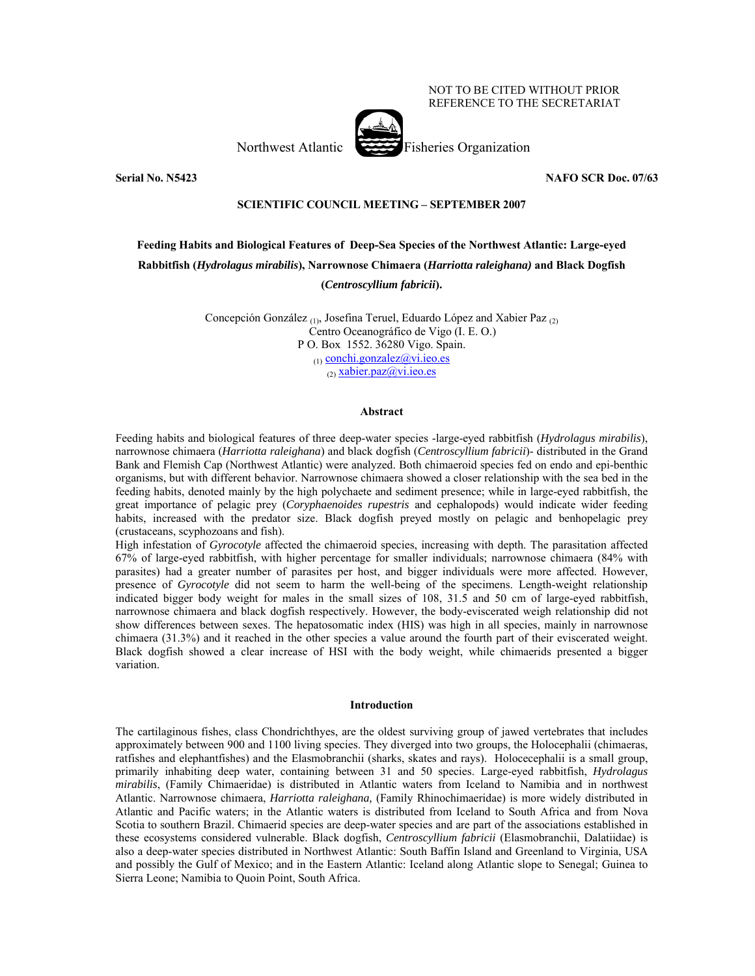## NOT TO BE CITED WITHOUT PRIOR REFERENCE TO THE SECRETARIAT

Northwest Atlantic Fisheries Organization



**Serial No. N5423 NAFO SCR Doc. 07/63** 

## **SCIENTIFIC COUNCIL MEETING – SEPTEMBER 2007**

# **Feeding Habits and Biological Features of Deep-Sea Species of the Northwest Atlantic: Large-eyed Rabbitfish (***Hydrolagus mirabilis***), Narrownose Chimaera (***Harriotta raleighana)* **and Black Dogfish (***Centroscyllium fabricii***).**

Concepción González (1), Josefina Teruel, Eduardo López and Xabier Paz (2) Centro Oceanográfico de Vigo (I. E. O.) P O. Box 1552. 36280 Vigo. Spain. (1) conchi.gonzalez@vi.ieo.es (2) xabier.paz@vi.ieo.es

## **Abstract**

Feeding habits and biological features of three deep-water species -large-eyed rabbitfish (*Hydrolagus mirabilis*), narrownose chimaera (*Harriotta raleighana*) and black dogfish (*Centroscyllium fabricii*)- distributed in the Grand Bank and Flemish Cap (Northwest Atlantic) were analyzed. Both chimaeroid species fed on endo and epi-benthic organisms, but with different behavior. Narrownose chimaera showed a closer relationship with the sea bed in the feeding habits, denoted mainly by the high polychaete and sediment presence; while in large-eyed rabbitfish, the great importance of pelagic prey (*Coryphaenoides rupestris* and cephalopods) would indicate wider feeding habits, increased with the predator size. Black dogfish preyed mostly on pelagic and benhopelagic prey (crustaceans, scyphozoans and fish).

High infestation of *Gyrocotyle* affected the chimaeroid species, increasing with depth. The parasitation affected 67% of large-eyed rabbitfish, with higher percentage for smaller individuals; narrownose chimaera (84% with parasites) had a greater number of parasites per host, and bigger individuals were more affected. However, presence of *Gyrocotyle* did not seem to harm the well-being of the specimens. Length-weight relationship indicated bigger body weight for males in the small sizes of 108, 31.5 and 50 cm of large-eyed rabbitfish, narrownose chimaera and black dogfish respectively. However, the body-eviscerated weigh relationship did not show differences between sexes. The hepatosomatic index (HIS) was high in all species, mainly in narrownose chimaera (31.3%) and it reached in the other species a value around the fourth part of their eviscerated weight. Black dogfish showed a clear increase of HSI with the body weight, while chimaerids presented a bigger variation.

### **Introduction**

The cartilaginous fishes, class Chondrichthyes, are the oldest surviving group of jawed vertebrates that includes approximately between 900 and 1100 living species. They diverged into two groups, the Holocephalii (chimaeras, ratfishes and elephantfishes) and the Elasmobranchii (sharks, skates and rays). Holocecephalii is a small group, primarily inhabiting deep water, containing between 31 and 50 species. Large-eyed rabbitfish, *Hydrolagus mirabilis*, (Family Chimaeridae) is distributed in Atlantic waters from Iceland to Namibia and in northwest Atlantic. Narrownose chimaera, *Harriotta raleighana,* (Family Rhinochimaeridae) is more widely distributed in Atlantic and Pacific waters; in the Atlantic waters is distributed from Iceland to South Africa and from Nova Scotia to southern Brazil. Chimaerid species are deep-water species and are part of the associations established in these ecosystems considered vulnerable. Black dogfish, *Centroscyllium fabricii* (Elasmobranchii, Dalatiidae) is also a deep-water species distributed in Northwest Atlantic: South Baffin Island and Greenland to Virginia, USA and possibly the Gulf of Mexico; and in the Eastern Atlantic: Iceland along Atlantic slope to Senegal; Guinea to Sierra Leone; Namibia to Quoin Point, South Africa.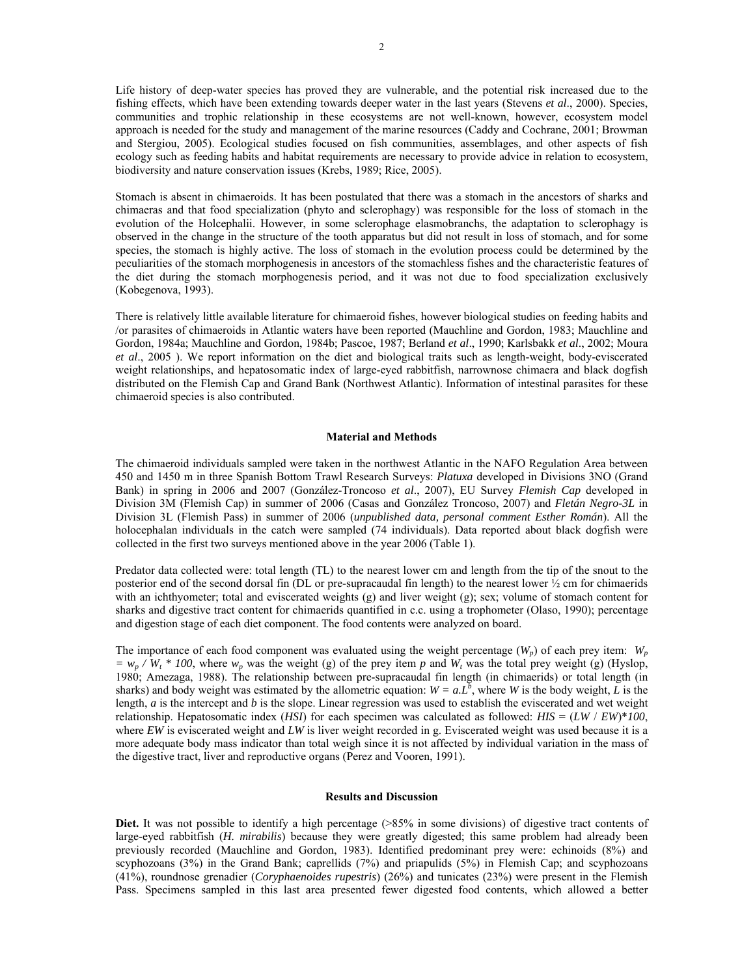Life history of deep-water species has proved they are vulnerable, and the potential risk increased due to the fishing effects, which have been extending towards deeper water in the last years (Stevens *et al*., 2000). Species, communities and trophic relationship in these ecosystems are not well-known, however, ecosystem model approach is needed for the study and management of the marine resources (Caddy and Cochrane, 2001; Browman and Stergiou, 2005). Ecological studies focused on fish communities, assemblages, and other aspects of fish ecology such as feeding habits and habitat requirements are necessary to provide advice in relation to ecosystem, biodiversity and nature conservation issues (Krebs, 1989; Rice, 2005).

Stomach is absent in chimaeroids. It has been postulated that there was a stomach in the ancestors of sharks and chimaeras and that food specialization (phyto and sclerophagy) was responsible for the loss of stomach in the evolution of the Holcephalii. However, in some sclerophage elasmobranchs, the adaptation to sclerophagy is observed in the change in the structure of the tooth apparatus but did not result in loss of stomach, and for some species, the stomach is highly active. The loss of stomach in the evolution process could be determined by the peculiarities of the stomach morphogenesis in ancestors of the stomachless fishes and the characteristic features of the diet during the stomach morphogenesis period, and it was not due to food specialization exclusively (Kobegenova, 1993).

There is relatively little available literature for chimaeroid fishes, however biological studies on feeding habits and /or parasites of chimaeroids in Atlantic waters have been reported (Mauchline and Gordon, 1983; Mauchline and Gordon, 1984a; Mauchline and Gordon, 1984b; Pascoe, 1987; Berland *et al*., 1990; Karlsbakk *et al*., 2002; Moura *et al*., 2005 ). We report information on the diet and biological traits such as length-weight, body-eviscerated weight relationships, and hepatosomatic index of large-eyed rabbitfish, narrownose chimaera and black dogfish distributed on the Flemish Cap and Grand Bank (Northwest Atlantic). Information of intestinal parasites for these chimaeroid species is also contributed.

### **Material and Methods**

The chimaeroid individuals sampled were taken in the northwest Atlantic in the NAFO Regulation Area between 450 and 1450 m in three Spanish Bottom Trawl Research Surveys: *Platuxa* developed in Divisions 3NO (Grand Bank) in spring in 2006 and 2007 (González-Troncoso *et al*., 2007), EU Survey *Flemish Cap* developed in Division 3M (Flemish Cap) in summer of 2006 (Casas and González Troncoso, 2007) and *Fletán Negro-3L* in Division 3L (Flemish Pass) in summer of 2006 (*unpublished data, personal comment Esther Román*). All the holocephalan individuals in the catch were sampled (74 individuals). Data reported about black dogfish were collected in the first two surveys mentioned above in the year 2006 (Table 1).

Predator data collected were: total length (TL) to the nearest lower cm and length from the tip of the snout to the posterior end of the second dorsal fin (DL or pre-supracaudal fin length) to the nearest lower ½ cm for chimaerids with an ichthyometer; total and eviscerated weights (g) and liver weight (g); sex; volume of stomach content for sharks and digestive tract content for chimaerids quantified in c.c. using a trophometer (Olaso, 1990); percentage and digestion stage of each diet component. The food contents were analyzed on board.

The importance of each food component was evaluated using the weight percentage  $(W_p)$  of each prey item:  $W_p$  $= w_p / W_t * 100$ , where  $w_p$  was the weight (g) of the prey item *p* and  $W_t$  was the total prey weight (g) (Hyslop, 1980; Amezaga, 1988). The relationship between pre-supracaudal fin length (in chimaerids) or total length (in sharks) and body weight was estimated by the allometric equation:  $W = aL^b$ , where *W* is the body weight, *L* is the length, *a* is the intercept and *b* is the slope. Linear regression was used to establish the eviscerated and wet weight relationship. Hepatosomatic index (*HSI*) for each specimen was calculated as followed: *HIS* = (*LW* / *EW*)\**100*, where *EW* is eviscerated weight and *LW* is liver weight recorded in g. Eviscerated weight was used because it is a more adequate body mass indicator than total weigh since it is not affected by individual variation in the mass of the digestive tract, liver and reproductive organs (Perez and Vooren, 1991).

#### **Results and Discussion**

**Diet.** It was not possible to identify a high percentage (>85% in some divisions) of digestive tract contents of large-eyed rabbitfish (*H. mirabilis*) because they were greatly digested; this same problem had already been previously recorded (Mauchline and Gordon, 1983). Identified predominant prey were: echinoids (8%) and scyphozoans (3%) in the Grand Bank; caprellids (7%) and priapulids (5%) in Flemish Cap; and scyphozoans (41%), roundnose grenadier (*Coryphaenoides rupestris*) (26%) and tunicates (23%) were present in the Flemish Pass. Specimens sampled in this last area presented fewer digested food contents, which allowed a better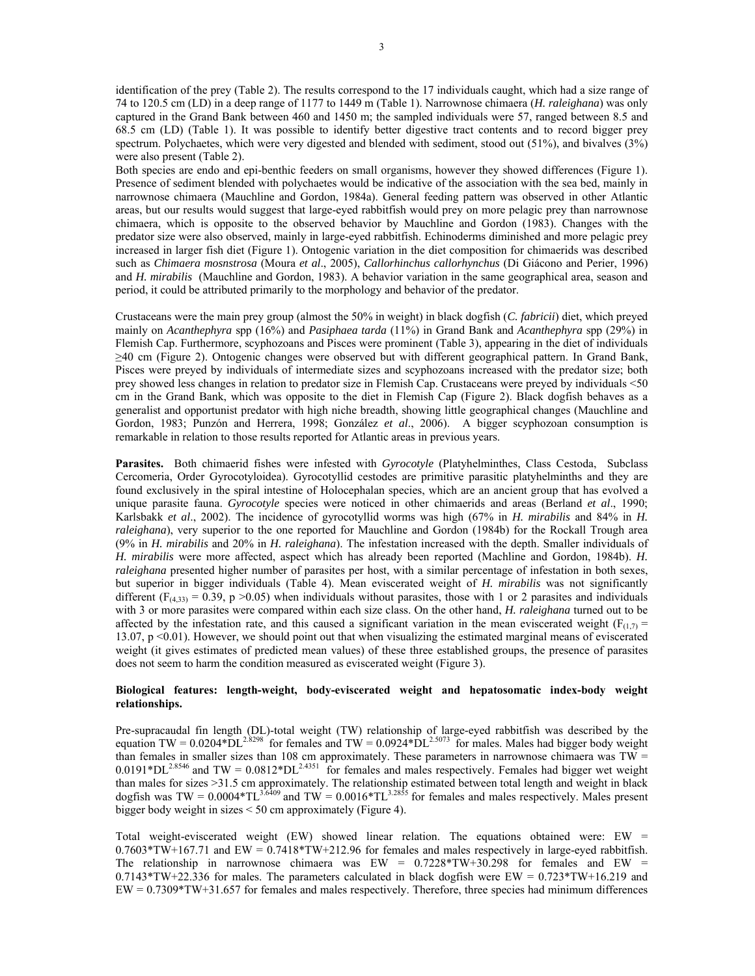identification of the prey (Table 2). The results correspond to the 17 individuals caught, which had a size range of 74 to 120.5 cm (LD) in a deep range of 1177 to 1449 m (Table 1). Narrownose chimaera (*H. raleighana*) was only captured in the Grand Bank between 460 and 1450 m; the sampled individuals were 57, ranged between 8.5 and 68.5 cm (LD) (Table 1). It was possible to identify better digestive tract contents and to record bigger prey spectrum. Polychaetes, which were very digested and blended with sediment, stood out (51%), and bivalves (3%) were also present (Table 2).

Both species are endo and epi-benthic feeders on small organisms, however they showed differences (Figure 1). Presence of sediment blended with polychaetes would be indicative of the association with the sea bed, mainly in narrownose chimaera (Mauchline and Gordon, 1984a). General feeding pattern was observed in other Atlantic areas, but our results would suggest that large-eyed rabbitfish would prey on more pelagic prey than narrownose chimaera, which is opposite to the observed behavior by Mauchline and Gordon (1983). Changes with the predator size were also observed, mainly in large-eyed rabbitfish. Echinoderms diminished and more pelagic prey increased in larger fish diet (Figure 1). Ontogenic variation in the diet composition for chimaerids was described such as *Chimaera mosnstrosa* (Moura *et al*., 2005), *Callorhinchus callorhynchus* (Di Giácono and Perier, 1996) and *H. mirabilis* (Mauchline and Gordon, 1983). A behavior variation in the same geographical area, season and period, it could be attributed primarily to the morphology and behavior of the predator.

Crustaceans were the main prey group (almost the 50% in weight) in black dogfish (*C. fabricii*) diet, which preyed mainly on *Acanthephyra* spp (16%) and *Pasiphaea tarda* (11%) in Grand Bank and *Acanthephyra* spp (29%) in Flemish Cap. Furthermore, scyphozoans and Pisces were prominent (Table 3), appearing in the diet of individuals ≥40 cm (Figure 2). Ontogenic changes were observed but with different geographical pattern. In Grand Bank, Pisces were preyed by individuals of intermediate sizes and scyphozoans increased with the predator size; both prey showed less changes in relation to predator size in Flemish Cap. Crustaceans were preyed by individuals <50 cm in the Grand Bank, which was opposite to the diet in Flemish Cap (Figure 2). Black dogfish behaves as a generalist and opportunist predator with high niche breadth, showing little geographical changes (Mauchline and Gordon, 1983; Punzón and Herrera, 1998; González *et al*., 2006). A bigger scyphozoan consumption is remarkable in relation to those results reported for Atlantic areas in previous years.

**Parasites.** Both chimaerid fishes were infested with *Gyrocotyle* (Platyhelminthes, Class Cestoda, Subclass Cercomeria, Order Gyrocotyloidea). Gyrocotyllid cestodes are primitive parasitic platyhelminths and they are found exclusively in the spiral intestine of Holocephalan species, which are an ancient group that has evolved a unique parasite fauna. *Gyrocotyle* species were noticed in other chimaerids and areas (Berland *et al*., 1990; Karlsbakk *et al*., 2002). The incidence of gyrocotyllid worms was high (67% in *H. mirabilis* and 84% in *H. raleighana*), very superior to the one reported for Mauchline and Gordon (1984b) for the Rockall Trough area (9% in *H. mirabilis* and 20% in *H. raleighana*). The infestation increased with the depth. Smaller individuals of *H. mirabilis* were more affected, aspect which has already been reported (Machline and Gordon, 1984b). *H. raleighana* presented higher number of parasites per host, with a similar percentage of infestation in both sexes, but superior in bigger individuals (Table 4). Mean eviscerated weight of *H. mirabilis* was not significantly different ( $F_{(4,33)} = 0.39$ , p >0.05) when individuals without parasites, those with 1 or 2 parasites and individuals with 3 or more parasites were compared within each size class. On the other hand, *H. raleighana* turned out to be affected by the infestation rate, and this caused a significant variation in the mean eviscerated weight ( $F_{(1,7)}$  = 13.07, p <0.01). However, we should point out that when visualizing the estimated marginal means of eviscerated weight (it gives estimates of predicted mean values) of these three established groups, the presence of parasites does not seem to harm the condition measured as eviscerated weight (Figure 3).

# **Biological features: length-weight, body-eviscerated weight and hepatosomatic index-body weight relationships.**

Pre-supracaudal fin length (DL)-total weight (TW) relationship of large-eyed rabbitfish was described by the equation TW =  $0.0204*D12*3298$  for females and TW =  $0.0924*D12*5073$  for males. Males had bigger body weight than females in smaller sizes than 108 cm approximately. These parameters in narrownose chimaera was  $TW =$  $0.0191*DL^{2.8546}$  and TW =  $0.0812*DL^{2.4351}$  for females and males respectively. Females had bigger wet weight than males for sizes >31.5 cm approximately. The relationship estimated between total length and weight in black dogfish was TW =  $0.0004*TL^{3.6409}$  and TW =  $0.0016*TL^{3.2855}$  for females and males respectively. Males present bigger body weight in sizes < 50 cm approximately (Figure 4).

Total weight-eviscerated weight (EW) showed linear relation. The equations obtained were: EW = 0.7603\*TW+167.71 and EW = 0.7418\*TW+212.96 for females and males respectively in large-eyed rabbitfish. The relationship in narrownose chimaera was  $EW = 0.7228*TW+30.298$  for females and  $EW =$  $0.7143*TW+22.336$  for males. The parameters calculated in black dogfish were EW =  $0.723*TW+16.219$  and EW = 0.7309\*TW+31.657 for females and males respectively. Therefore, three species had minimum differences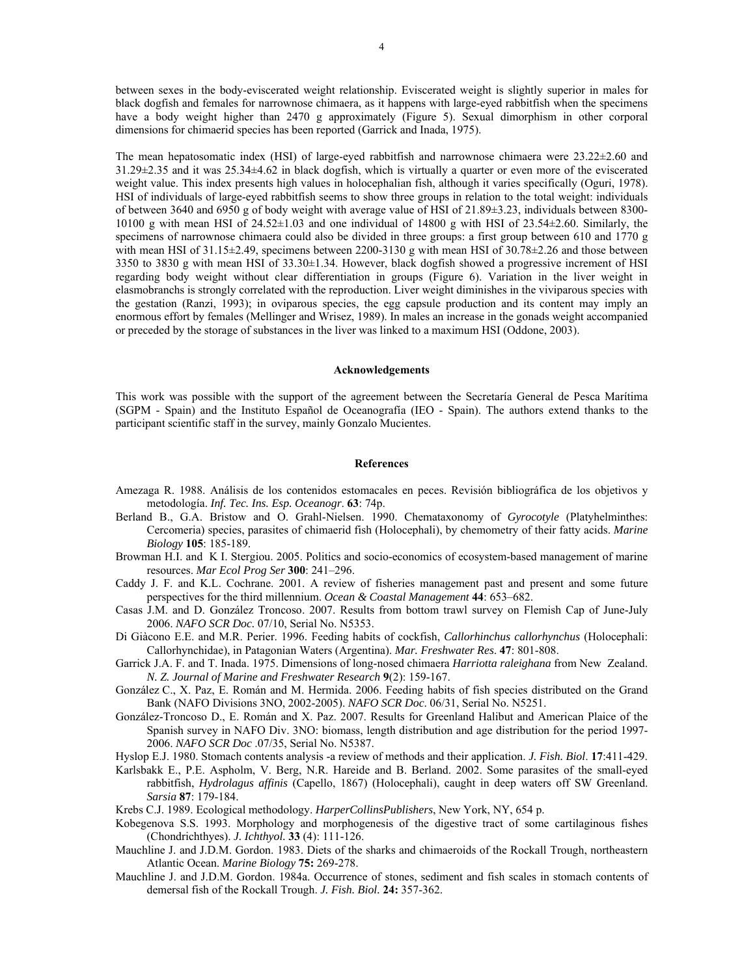between sexes in the body-eviscerated weight relationship. Eviscerated weight is slightly superior in males for black dogfish and females for narrownose chimaera, as it happens with large-eyed rabbitfish when the specimens have a body weight higher than 2470 g approximately (Figure 5). Sexual dimorphism in other corporal dimensions for chimaerid species has been reported (Garrick and Inada, 1975).

The mean hepatosomatic index (HSI) of large-eyed rabbitfish and narrownose chimaera were 23.22±2.60 and 31.29±2.35 and it was 25.34±4.62 in black dogfish, which is virtually a quarter or even more of the eviscerated weight value. This index presents high values in holocephalian fish, although it varies specifically (Oguri, 1978). HSI of individuals of large-eyed rabbitfish seems to show three groups in relation to the total weight: individuals of between 3640 and 6950 g of body weight with average value of HSI of 21.89±3.23, individuals between 8300- 10100 g with mean HSI of 24.52±1.03 and one individual of 14800 g with HSI of 23.54±2.60. Similarly, the specimens of narrownose chimaera could also be divided in three groups: a first group between 610 and 1770 g with mean HSI of  $31.15\pm2.49$ , specimens between 2200-3130 g with mean HSI of  $30.78\pm2.26$  and those between 3350 to 3830 g with mean HSI of 33.30±1.34. However, black dogfish showed a progressive increment of HSI regarding body weight without clear differentiation in groups (Figure 6). Variation in the liver weight in elasmobranchs is strongly correlated with the reproduction. Liver weight diminishes in the viviparous species with the gestation (Ranzi, 1993); in oviparous species, the egg capsule production and its content may imply an enormous effort by females (Mellinger and Wrisez, 1989). In males an increase in the gonads weight accompanied or preceded by the storage of substances in the liver was linked to a maximum HSI (Oddone, 2003).

#### **Acknowledgements**

This work was possible with the support of the agreement between the Secretaría General de Pesca Marítima (SGPM - Spain) and the Instituto Español de Oceanografía (IEO - Spain). The authors extend thanks to the participant scientific staff in the survey, mainly Gonzalo Mucientes.

#### **References**

- Amezaga R. 1988. Análisis de los contenidos estomacales en peces. Revisión bibliográfica de los objetivos y metodología. *Inf. Tec. Ins. Esp. Oceanogr*. **63**: 74p.
- Berland B., G.A. Bristow and O. Grahl-Nielsen. 1990. Chemataxonomy of *Gyrocotyle* (Platyhelminthes: Cercomeria) species, parasites of chimaerid fish (Holocephali), by chemometry of their fatty acids. *Marine Biology* **105**: 185-189.
- Browman H.I. and K I. Stergiou. 2005. Politics and socio-economics of ecosystem-based management of marine resources. *Mar Ecol Prog Ser* **300**: 241–296.
- Caddy J. F. and K.L. Cochrane. 2001. A review of fisheries management past and present and some future perspectives for the third millennium. *Ocean & Coastal Management* **44**: 653–682.
- Casas J.M. and D. González Troncoso. 2007. Results from bottom trawl survey on Flemish Cap of June-July 2006. *NAFO SCR Doc.* 07/10, Serial No. N5353.
- Di Giàcono E.E. and M.R. Perier. 1996. Feeding habits of cockfish, *Callorhinchus callorhynchus* (Holocephali: Callorhynchidae), in Patagonian Waters (Argentina). *Mar. Freshwater Res*. **47**: 801-808.
- Garrick J.A. F. and T. Inada. 1975. Dimensions of long-nosed chimaera *Harriotta raleighana* from New Zealand. *N. Z. Journal of Marine and Freshwater Research* **9**(2): 159-167.
- González C., X. Paz, E. Román and M. Hermida. 2006. Feeding habits of fish species distributed on the Grand Bank (NAFO Divisions 3NO, 2002-2005). *NAFO SCR Doc*. 06/31, Serial No. N5251.
- González-Troncoso D., E. Román and X. Paz. 2007. Results for Greenland Halibut and American Plaice of the Spanish survey in NAFO Div. 3NO: biomass, length distribution and age distribution for the period 1997- 2006. *NAFO SCR Doc* .07/35, Serial No. N5387.
- Hyslop E.J. 1980. Stomach contents analysis -a review of methods and their application. *J. Fish. Biol*. **17**:411-429.
- Karlsbakk E., P.E. Aspholm, V. Berg, N.R. Hareide and B. Berland. 2002. Some parasites of the small-eyed rabbitfish, *Hydrolagus affinis* (Capello, 1867) (Holocephali), caught in deep waters off SW Greenland. *Sarsia* **87**: 179-184.
- Krebs C.J. 1989. Ecological methodology. *HarperCollinsPublishers*, New York, NY, 654 p.
- Kobegenova S.S. 1993. Morphology and morphogenesis of the digestive tract of some cartilaginous fishes (Chondrichthyes). *J. Ichthyol.* **33** (4): 111-126.
- Mauchline J. and J.D.M. Gordon. 1983. Diets of the sharks and chimaeroids of the Rockall Trough, northeastern Atlantic Ocean. *Marine Biology* **75:** 269-278.
- Mauchline J. and J.D.M. Gordon. 1984a. Occurrence of stones, sediment and fish scales in stomach contents of demersal fish of the Rockall Trough. *J. Fish. Biol.* **24:** 357-362.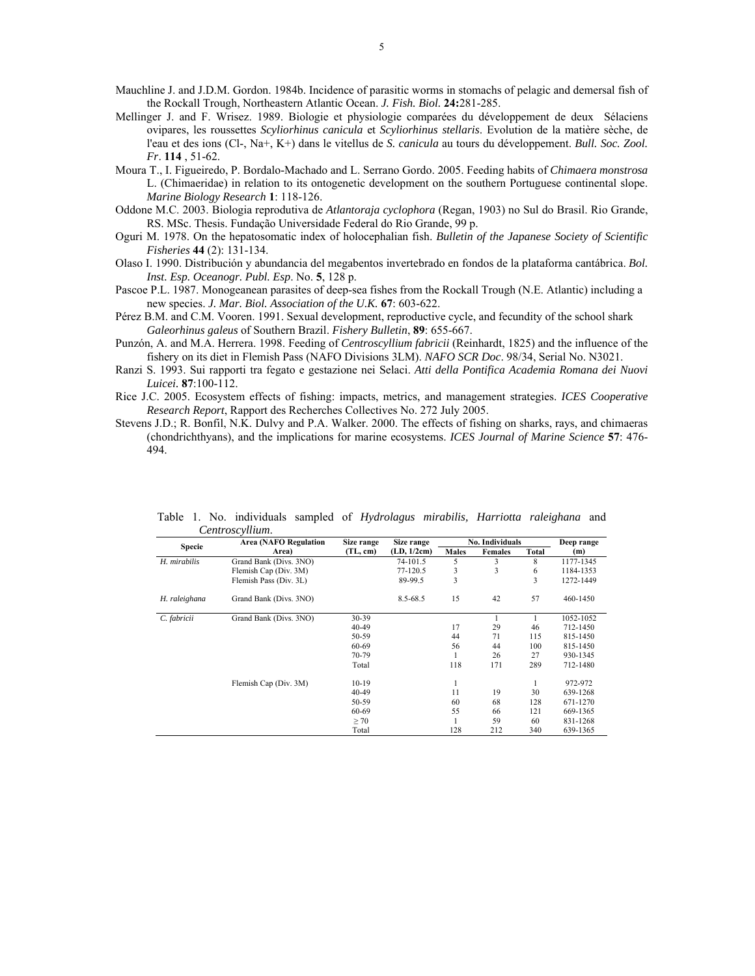Mauchline J. and J.D.M. Gordon. 1984b. Incidence of parasitic worms in stomachs of pelagic and demersal fish of the Rockall Trough, Northeastern Atlantic Ocean. *J. Fish. Biol.* **24:**281-285.

- Mellinger J. and F. Wrisez. 1989. Biologie et physiologie comparées du développement de deux Sélaciens ovipares, les roussettes *Scyliorhinus canicula* et *Scyliorhinus stellaris*. Evolution de la matière sèche, de l'eau et des ions (Cl-, Na+, K+) dans le vitellus de *S. canicula* au tours du développement. *Bull. Soc. Zool. Fr*. **114** , 51-62.
- Moura T., I. Figueiredo, P. Bordalo-Machado and L. Serrano Gordo. 2005. Feeding habits of *Chimaera monstrosa* L. (Chimaeridae) in relation to its ontogenetic development on the southern Portuguese continental slope. *Marine Biology Research* **1**: 118-126.
- Oddone M.C. 2003. Biologia reprodutiva de *Atlantoraja cyclophora* (Regan, 1903) no Sul do Brasil. Rio Grande, RS. MSc. Thesis. Fundação Universidade Federal do Rio Grande, 99 p.
- Oguri M. 1978. On the hepatosomatic index of holocephalian fish. *Bulletin of the Japanese Society of Scientific Fisheries* **44** (2): 131-134.
- Olaso I. 1990. Distribución y abundancia del megabentos invertebrado en fondos de la plataforma cantábrica. *Bol. Inst. Esp. Oceanogr. Publ. Esp*. No. **5**, 128 p.
- Pascoe P.L. 1987. Monogeanean parasites of deep-sea fishes from the Rockall Trough (N.E. Atlantic) including a new species. *J. Mar. Biol. Association of the U.K.* **67**: 603-622.
- Pérez B.M. and C.M. Vooren. 1991. Sexual development, reproductive cycle, and fecundity of the school shark *Galeorhinus galeus* of Southern Brazil. *Fishery Bulletin*, **89**: 655-667.
- Punzón, A. and M.A. Herrera. 1998. Feeding of *Centroscyllium fabricii* (Reinhardt, 1825) and the influence of the fishery on its diet in Flemish Pass (NAFO Divisions 3LM). *NAFO SCR Doc*. 98/34, Serial No. N3021.
- Ranzi S. 1993. Sui rapporti tra fegato e gestazione nei Selaci. *Atti della Pontifica Academia Romana dei Nuovi Luicei.* **87**:100-112.

Rice J.C. 2005. Ecosystem effects of fishing: impacts, metrics, and management strategies. *ICES Cooperative Research Report*, Rapport des Recherches Collectives No. 272 July 2005.

Stevens J.D.; R. Bonfil, N.K. Dulvy and P.A. Walker. 2000. The effects of fishing on sharks, rays, and chimaeras (chondrichthyans), and the implications for marine ecosystems. *ICES Journal of Marine Science* **57**: 476- 494.

| Centroscyttum. |                              |            |             |                 |                |       |            |
|----------------|------------------------------|------------|-------------|-----------------|----------------|-------|------------|
| <b>Specie</b>  | <b>Area (NAFO Regulation</b> | Size range | Size range  | No. Individuals |                |       | Deep range |
|                | Area)                        | (TL, cm)   | (LD, 1/2cm) | <b>Males</b>    | <b>Females</b> | Total | (m)        |
| H. mirabilis   | Grand Bank (Divs. 3NO)       |            | 74-101.5    | 5               | 3              | 8     | 1177-1345  |
|                | Flemish Cap (Div. 3M)        |            | 77-120.5    | 3               | 3              | 6     | 1184-1353  |
|                | Flemish Pass (Div. 3L)       |            | 89-99.5     | 3               |                | 3     | 1272-1449  |
| H. raleighana  | Grand Bank (Divs. 3NO)       |            | 8.5-68.5    | 15              | 42             | 57    | 460-1450   |
| C. fabricii    | Grand Bank (Divs. 3NO)       | 30-39      |             |                 |                |       | 1052-1052  |
|                |                              | 40-49      |             | 17              | 29             | 46    | 712-1450   |
|                |                              | 50-59      |             | 44              | 71             | 115   | 815-1450   |
|                |                              | 60-69      |             | 56              | 44             | 100   | 815-1450   |
|                |                              | 70-79      |             |                 | 26             | 27    | 930-1345   |
|                |                              | Total      |             | 118             | 171            | 289   | 712-1480   |
|                | Flemish Cap (Div. 3M)        | $10 - 19$  |             | 1               |                |       | 972-972    |
|                |                              | 40-49      |             | 11              | 19             | 30    | 639-1268   |
|                |                              | 50-59      |             | 60              | 68             | 128   | 671-1270   |
|                |                              | 60-69      |             | 55              | 66             | 121   | 669-1365   |
|                |                              | $\geq 70$  |             |                 | 59             | 60    | 831-1268   |
|                |                              | Total      |             | 128             | 212            | 340   | 639-1365   |

Table 1. No. individuals sampled of *Hydrolagus mirabilis, Harriotta raleighana* and *Centroscyllium*.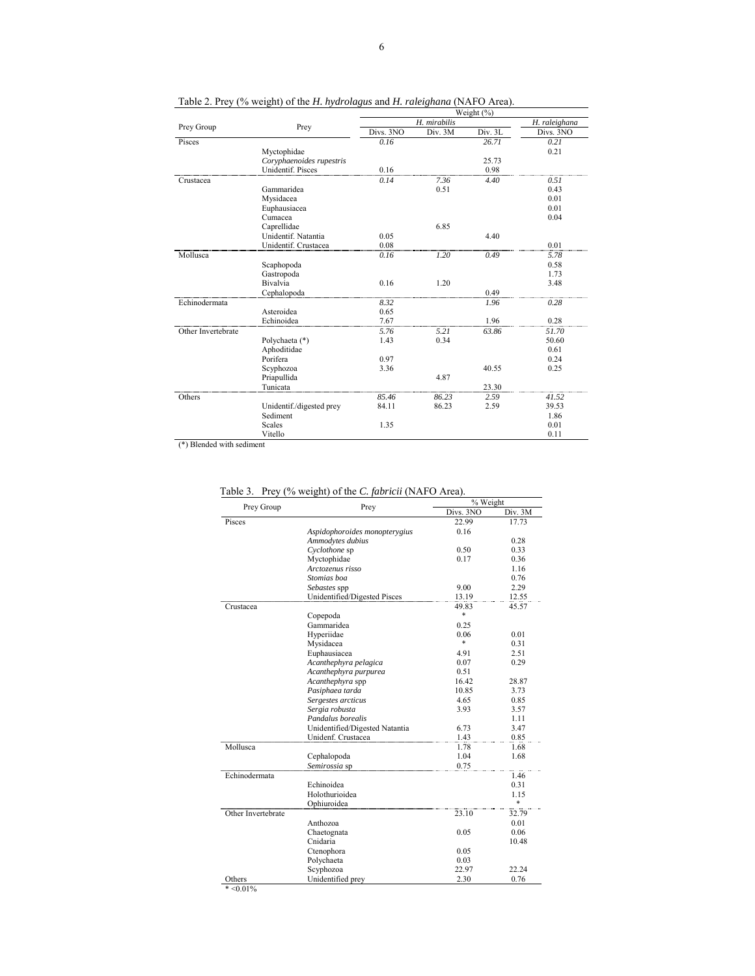|                    |                          | Weight $(\% )$ |               |         |           |  |
|--------------------|--------------------------|----------------|---------------|---------|-----------|--|
| Prey Group         |                          | H. mirabilis   | H. raleighana |         |           |  |
|                    | Prey                     | Divs. 3NO      | Div. 3M       | Div. 3L | Divs. 3NO |  |
| Pisces             |                          | 0.16           |               | 26.71   | 0.21      |  |
|                    | Myctophidae              |                |               |         | 0.21      |  |
|                    | Coryphaenoides rupestris |                |               | 25.73   |           |  |
|                    | <b>Unidentif. Pisces</b> | 0.16           |               | 0.98    |           |  |
| Crustacea          |                          | 0.14           | 7.36          | 4.40    | 0.51      |  |
|                    | Gammaridea               |                | 0.51          |         | 0.43      |  |
|                    | Mysidacea                |                |               |         | 0.01      |  |
|                    | Euphausiacea             |                |               |         | 0.01      |  |
|                    | Cumacea                  |                |               |         | 0.04      |  |
|                    | Caprellidae              |                | 6.85          |         |           |  |
|                    | Unidentif. Natantia      | 0.05           |               | 4.40    |           |  |
|                    | Unidentif. Crustacea     | 0.08           |               |         | 0.01      |  |
| Mollusca           |                          | 0.16           | 1.20          | 0.49    | 5.78      |  |
|                    | Scaphopoda               |                |               |         | 0.58      |  |
|                    | Gastropoda               |                |               |         | 1.73      |  |
|                    | Bivalvia                 | 0.16           | 1.20          |         | 3.48      |  |
|                    | Cephalopoda              |                |               | 0.49    |           |  |
| Echinodermata      |                          | 8.32           |               | 1.96    | 0.28      |  |
|                    | Asteroidea               | 0.65           |               |         |           |  |
|                    | Echinoidea               | 7.67           |               | 1.96    | 0.28      |  |
| Other Invertebrate |                          | 5.76           | 5.21          | 63.86   | 51.70     |  |
|                    | Polychaeta (*)           | 1.43           | 0.34          |         | 50.60     |  |
|                    | Aphoditidae              |                |               |         | 0.61      |  |
|                    | Porifera                 | 0.97           |               |         | 0.24      |  |
|                    | Scyphozoa                | 3.36           |               | 40.55   | 0.25      |  |
|                    | Priapullida              |                | 4.87          |         |           |  |
|                    | Tunicata                 |                |               | 23.30   |           |  |
| Others             |                          | 85.46          | 86.23         | 2.59    | 41.52     |  |
|                    | Unidentif./digested prey | 84.11          | 86.23         | 2.59    | 39.53     |  |
|                    | Sediment                 |                |               |         | 1.86      |  |
|                    | <b>Scales</b>            | 1.35           |               |         | 0.01      |  |
|                    | Vitello                  |                |               |         | 0.11      |  |

Table 2. Prey (% weight) of the *H. hydrolagus* and *H. raleighana* (NAFO Area).

(\*) Blended with sediment

| Prey Group         | Prey                           | % Weight  |         |  |
|--------------------|--------------------------------|-----------|---------|--|
|                    |                                | Divs. 3NO | Div. 3M |  |
| Pisces             |                                | 22.99     | 17.73   |  |
|                    | Aspidophoroides monopterygius  | 0.16      |         |  |
|                    | Ammodytes dubius               |           | 0.28    |  |
|                    | Cyclothone sp                  | 0.50      | 0.33    |  |
|                    | Myctophidae                    | 0.17      | 0.36    |  |
|                    | Arctozenus risso               |           | 1.16    |  |
|                    | Stomias boa                    |           | 0.76    |  |
|                    | Sebastes spp                   | 9.00      | 2.29    |  |
|                    | Unidentified/Digested Pisces   | 13.19     | 12.55   |  |
| Crustacea          |                                | 49.83     | 45.57   |  |
|                    | Copepoda                       | *         |         |  |
|                    | Gammaridea                     | 0.25      |         |  |
|                    | Hyperiidae                     | 0.06      | 0.01    |  |
|                    | Mysidacea                      | $\ast$    | 0.31    |  |
|                    | Euphausiacea                   | 4.91      | 2.51    |  |
|                    | Acanthephyra pelagica          | 0.07      | 0.29    |  |
|                    | Acanthephyra purpurea          | 0.51      |         |  |
|                    | Acanthephyra spp               | 16.42     | 28.87   |  |
|                    | Pasiphaea tarda                | 10.85     | 3.73    |  |
|                    | Sergestes arcticus             | 4.65      | 0.85    |  |
|                    | Sergia robusta                 | 3.93      | 3.57    |  |
|                    | Pandalus borealis              |           | 1.11    |  |
|                    | Unidentified/Digested Natantia | 6.73      | 3.47    |  |
|                    | Unidenf. Crustacea             | 1.43      | 0.85    |  |
| Mollusca           |                                | 1.78      | 1.68    |  |
|                    | Cephalopoda                    | 1.04      | 1.68    |  |
|                    | Semirossia sp                  | 0.75      |         |  |
| Echinodermata      |                                |           | 1.46    |  |
|                    | Echinoidea                     |           | 0.31    |  |
|                    | Holothurioidea                 |           | 1.15    |  |
|                    | Ophiuroidea                    |           | *       |  |
| Other Invertebrate |                                | 23.10     | 32.79   |  |
|                    | Anthozoa                       |           | 0.01    |  |
|                    | Chaetognata                    | 0.05      | 0.06    |  |
|                    | Cnidaria                       |           | 10.48   |  |
|                    | Ctenophora                     | 0.05      |         |  |
|                    | Polychaeta                     | 0.03      |         |  |
|                    | Scyphozoa                      | 22.97     | 22.24   |  |
| Others             | Unidentified prev              | 2.30      | 0.76    |  |

Table 3. Prey (% weight) of the *C. fabricii* (NAFO Area).

 $* < 0.01\%$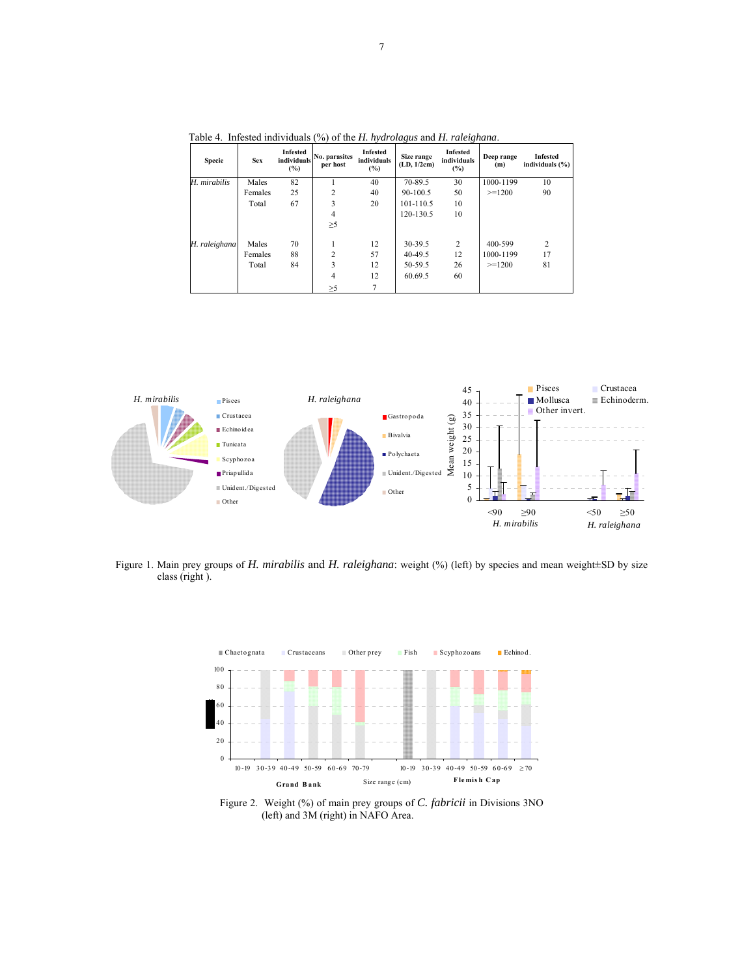| <b>Specie</b> | <b>Sex</b> | Infested<br>individuals<br>(%) | No. parasites<br>per host | Infested<br>individuals<br>(%) | Size range<br>(LD, 1/2cm) | Infested<br>individuals<br>(%) | Deep range<br>(m) | Infested<br>individuals $(\% )$ |
|---------------|------------|--------------------------------|---------------------------|--------------------------------|---------------------------|--------------------------------|-------------------|---------------------------------|
| H. mirabilis  | Males      | 82                             |                           | 40                             | 70-89.5                   | 30                             | 1000-1199         | 10                              |
|               | Females    | 25                             | 2                         | 40                             | 90-100.5                  | 50                             | $>=1200$          | 90                              |
|               | Total      | 67                             | 3                         | 20                             | 101-110.5                 | 10                             |                   |                                 |
|               |            |                                | 4                         |                                | 120-130.5                 | 10                             |                   |                                 |
|               |            |                                | $\geq 5$                  |                                |                           |                                |                   |                                 |
| H. raleighana | Males      | 70                             |                           | 12                             | 30-39.5                   | 2                              | 400-599           | $\overline{c}$                  |
|               | Females    | 88                             | $\overline{c}$            | 57                             | 40-49.5                   | 12                             | 1000-1199         | 17                              |
|               | Total      | 84                             | 3                         | 12                             | 50-59.5                   | 26                             | $>=1200$          | 81                              |
|               |            |                                | 4                         | 12                             | 60.69.5                   | 60                             |                   |                                 |
|               |            |                                | $\geq 5$                  |                                |                           |                                |                   |                                 |

Table 4. Infested individuals (%) of the *H. hydrolagus* and *H. raleighana*.



Figure 1. Main prey groups of *H. mirabilis* and *H. raleighana*: weight (%) (left) by species and mean weight±SD by size class (right ).



Figure 2. Weight (%) of main prey groups of *C. fabricii* in Divisions 3NO (left) and 3M (right) in NAFO Area.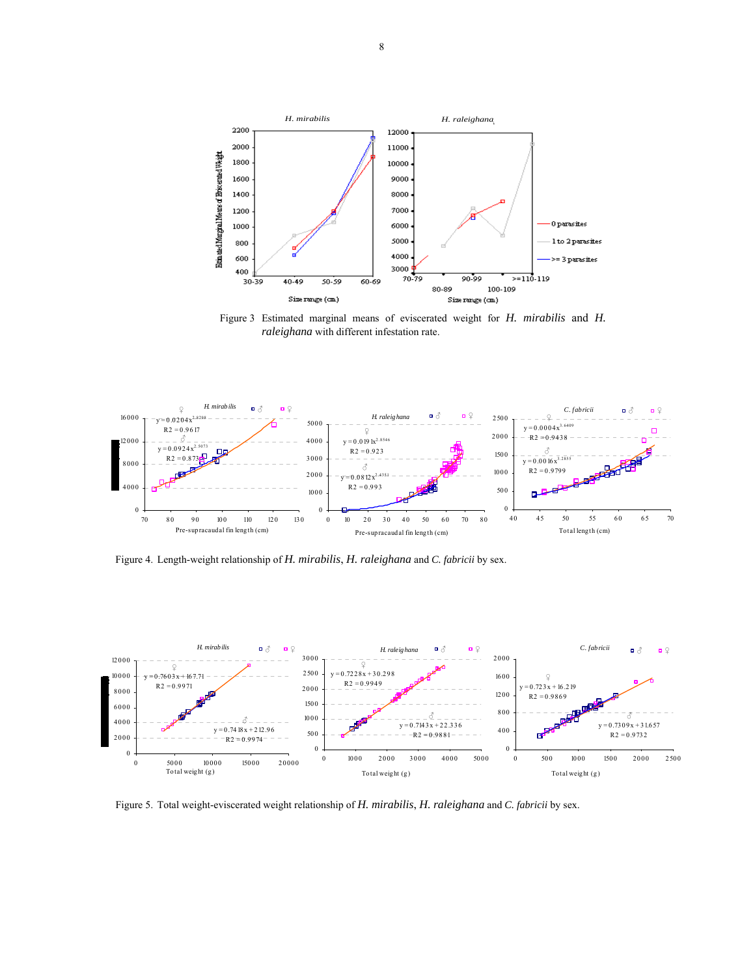

Figure 3 Estimated marginal means of eviscerated weight for *H. mirabilis* and *H. raleighana* with different infestation rate.



Figure 4. Length-weight relationship of *H. mirabilis*, *H. raleighana* and *C. fabricii* by sex.



Figure 5. Total weight-eviscerated weight relationship of *H. mirabilis*, *H. raleighana* and *C. fabricii* by sex.